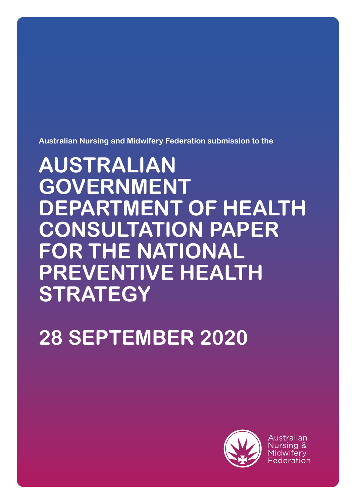**Australian Nursing and Midwifery Federation submission to the** 

# **AUSTRALIAN GOVERNMENT DEPARTMENT OF HEALTH CONSULTATION PAPER FOR THE NATIONAL PREVENTIVE HEALTH STRATEGY**

# **28 SEPTEMBER 2020**



Australian Nursing & Midwiferv Federation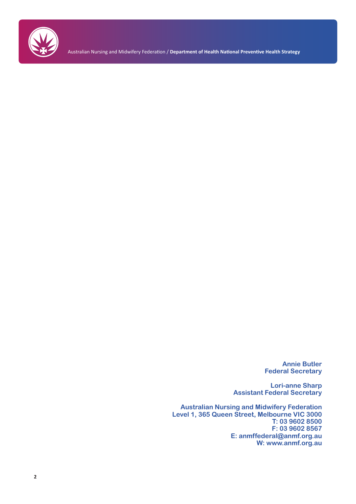

Australian Nursing and Midwifery Federation / **Department of Health National Preventive Health Strategy**

**Annie Butler Federal Secretary**

**Lori-anne Sharp Assistant Federal Secretary**

**Australian Nursing and Midwifery Federation Level 1, 365 Queen Street, Melbourne VIC 3000 T: 03 9602 8500 F: 03 9602 8567 E: anmffederal@anmf.org.au W: www.anmf.org.au**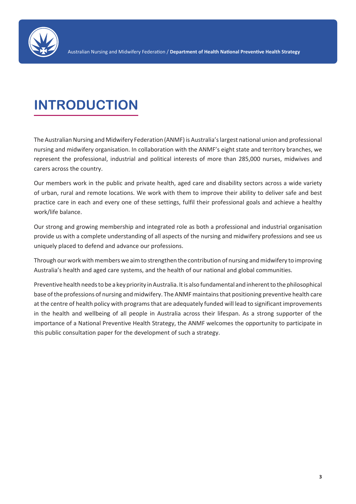

# **INTRODUCTION**

The Australian Nursing and Midwifery Federation (ANMF) is Australia's largest national union and professional nursing and midwifery organisation. In collaboration with the ANMF's eight state and territory branches, we represent the professional, industrial and political interests of more than 285,000 nurses, midwives and carers across the country.

Our members work in the public and private health, aged care and disability sectors across a wide variety of urban, rural and remote locations. We work with them to improve their ability to deliver safe and best practice care in each and every one of these settings, fulfil their professional goals and achieve a healthy work/life balance.

Our strong and growing membership and integrated role as both a professional and industrial organisation provide us with a complete understanding of all aspects of the nursing and midwifery professions and see us uniquely placed to defend and advance our professions.

Through our work with members we aim to strengthen the contribution of nursing and midwifery to improving Australia's health and aged care systems, and the health of our national and global communities.

Preventive health needs to be a key priority in Australia. It is also fundamental and inherent to the philosophical base of the professions of nursing and midwifery. The ANMF maintains that positioning preventive health care at the centre of health policy with programs that are adequately funded will lead to significant improvements in the health and wellbeing of all people in Australia across their lifespan. As a strong supporter of the importance of a National Preventive Health Strategy, the ANMF welcomes the opportunity to participate in this public consultation paper for the development of such a strategy.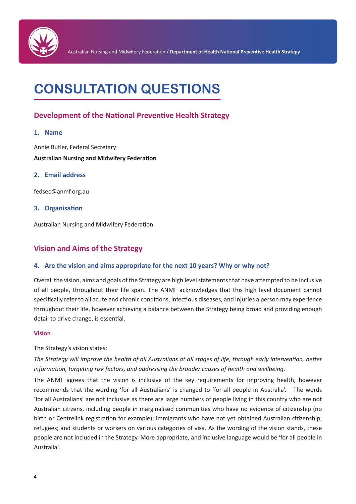

# **CONSULTATION QUESTIONS**

## **Development of the National Preventive Health Strategy**

#### **1. Name**

Annie Butler, Federal Secretary **Australian Nursing and Midwifery Federation** 

#### **2. Email address**

fedsec@anmf.org.au

#### **3. Organisation**

Australian Nursing and Midwifery Federation

### **Vision and Aims of the Strategy**

#### **4. Are the vision and aims appropriate for the next 10 years? Why or why not?**

Overall the vision, aims and goals of the Strategy are high level statements that have attempted to be inclusive of all people, throughout their life span. The ANMF acknowledges that this high level document cannot specifically refer to all acute and chronic conditions, infectious diseases, and injuries a person may experience throughout their life, however achieving a balance between the Strategy being broad and providing enough detail to drive change, is essential.

#### **Vision**

#### The Strategy's vision states:

*The Strategy will improve the health of all Australians at all stages of life, through early intervention, better information, targeting risk factors, and addressing the broader causes of health and wellbeing.* 

The ANMF agrees that the vision is inclusive of the key requirements for improving health, however recommends that the wording 'for all Australians' is changed to 'for all people in Australia'. The words 'for all Australians' are not inclusive as there are large numbers of people living in this country who are not Australian citizens, including people in marginalised communities who have no evidence of citizenship (no birth or Centrelink registration for example); immigrants who have not yet obtained Australian citizenship; refugees; and students or workers on various categories of visa. As the wording of the vision stands, these people are not included in the Strategy. More appropriate, and inclusive language would be 'for all people in Australia'.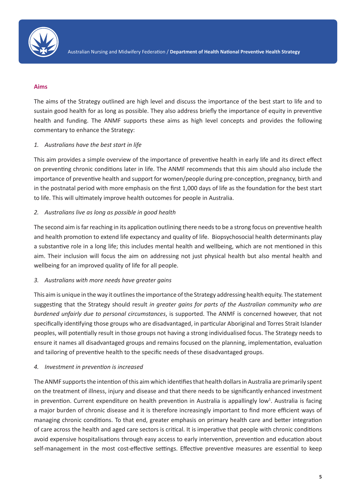

#### **Aims**

The aims of the Strategy outlined are high level and discuss the importance of the best start to life and to sustain good health for as long as possible. They also address briefly the importance of equity in preventive health and funding. The ANMF supports these aims as high level concepts and provides the following commentary to enhance the Strategy:

#### *1. Australians have the best start in life*

This aim provides a simple overview of the importance of preventive health in early life and its direct effect on preventing chronic conditions later in life. The ANMF recommends that this aim should also include the importance of preventive health and support for women/people during pre-conception, pregnancy, birth and in the postnatal period with more emphasis on the first 1,000 days of life as the foundation for the best start to life. This will ultimately improve health outcomes for people in Australia.

#### *2. Australians live as long as possible in good health*

The second aim is far reaching in its application outlining there needs to be a strong focus on preventive health and health promotion to extend life expectancy and quality of life. Biopsychosocial health determinants play a substantive role in a long life; this includes mental health and wellbeing, which are not mentioned in this aim. Their inclusion will focus the aim on addressing not just physical health but also mental health and wellbeing for an improved quality of life for all people.

#### *3. Australians with more needs have greater gains*

This aim is unique in the way it outlines the importance of the Strategy addressing health equity. The statement suggesting that the Strategy should result *in greater gains for parts of the Australian community who are burdened unfairly due to personal circumstances*, is supported. The ANMF is concerned however, that not specifically identifying those groups who are disadvantaged, in particular Aboriginal and Torres Strait Islander peoples, will potentially result in those groups not having a strong individualised focus. The Strategy needs to ensure it names all disadvantaged groups and remains focused on the planning, implementation, evaluation and tailoring of preventive health to the specific needs of these disadvantaged groups.

#### *4. Investment in prevention is increased*

The ANMF supports the intention of this aim which identifies that health dollars in Australia are primarily spent on the treatment of illness, injury and disease and that there needs to be significantly enhanced investment in prevention. Current expenditure on health prevention in Australia is appallingly low<sup>1</sup>. Australia is facing a major burden of chronic disease and it is therefore increasingly important to find more efficient ways of managing chronic conditions. To that end, greater emphasis on primary health care and better integration of care across the health and aged care sectors is critical. It is imperative that people with chronic conditions avoid expensive hospitalisations through easy access to early intervention, prevention and education about self-management in the most cost-effective settings. Effective preventive measures are essential to keep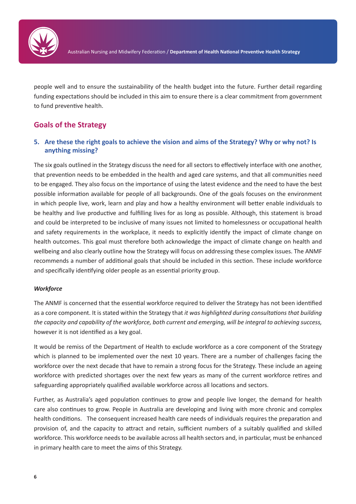

people well and to ensure the sustainability of the health budget into the future. Further detail regarding funding expectations should be included in this aim to ensure there is a clear commitment from government to fund preventive health.

## **Goals of the Strategy**

#### **5. Are these the right goals to achieve the vision and aims of the Strategy? Why or why not? Is anything missing?**

The six goals outlined in the Strategy discuss the need for all sectors to effectively interface with one another, that prevention needs to be embedded in the health and aged care systems, and that all communities need to be engaged. They also focus on the importance of using the latest evidence and the need to have the best possible information available for people of all backgrounds. One of the goals focuses on the environment in which people live, work, learn and play and how a healthy environment will better enable individuals to be healthy and live productive and fulfilling lives for as long as possible. Although, this statement is broad and could be interpreted to be inclusive of many issues not limited to homelessness or occupational health and safety requirements in the workplace, it needs to explicitly identify the impact of climate change on health outcomes. This goal must therefore both acknowledge the impact of climate change on health and wellbeing and also clearly outline how the Strategy will focus on addressing these complex issues. The ANMF recommends a number of additional goals that should be included in this section. These include workforce and specifically identifying older people as an essential priority group.

#### *Workforce*

The ANMF is concerned that the essential workforce required to deliver the Strategy has not been identified as a core component. It is stated within the Strategy that *it was highlighted during consultations that building the capacity and capability of the workforce, both current and emerging, will be integral to achieving success,* however it is not identified as a key goal.

It would be remiss of the Department of Health to exclude workforce as a core component of the Strategy which is planned to be implemented over the next 10 years. There are a number of challenges facing the workforce over the next decade that have to remain a strong focus for the Strategy. These include an ageing workforce with predicted shortages over the next few years as many of the current workforce retires and safeguarding appropriately qualified available workforce across all locations and sectors.

Further, as Australia's aged population continues to grow and people live longer, the demand for health care also continues to grow. People in Australia are developing and living with more chronic and complex health conditions. The consequent increased health care needs of individuals requires the preparation and provision of, and the capacity to attract and retain, sufficient numbers of a suitably qualified and skilled workforce. This workforce needs to be available across all health sectors and, in particular, must be enhanced in primary health care to meet the aims of this Strategy.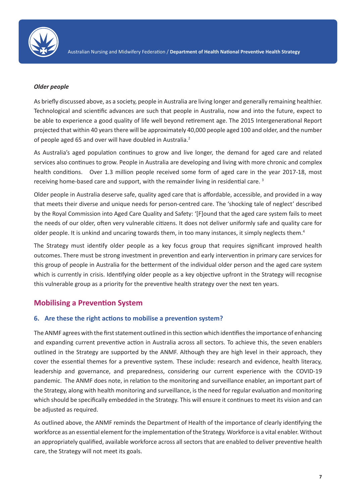

#### *Older people*

As briefly discussed above, as a society, people in Australia are living longer and generally remaining healthier. Technological and scientific advances are such that people in Australia, now and into the future, expect to be able to experience a good quality of life well beyond retirement age. The 2015 Intergenerational Report projected that within 40 years there will be approximately 40,000 people aged 100 and older, and the number of people aged 65 and over will have doubled in Australia.<sup>2</sup>

As Australia's aged population continues to grow and live longer, the demand for aged care and related services also continues to grow. People in Australia are developing and living with more chronic and complex health conditions. Over 1.3 million people received some form of aged care in the year 2017-18, most receiving home-based care and support, with the remainder living in residential care. 3

Older people in Australia deserve safe, quality aged care that is affordable, accessible, and provided in a way that meets their diverse and unique needs for person-centred care. The 'shocking tale of neglect' described by the Royal Commission into Aged Care Quality and Safety: '[F]ound that the aged care system fails to meet the needs of our older, often very vulnerable citizens. It does not deliver uniformly safe and quality care for older people. It is unkind and uncaring towards them, in too many instances, it simply neglects them.<sup>4</sup>

The Strategy must identify older people as a key focus group that requires significant improved health outcomes. There must be strong investment in prevention and early intervention in primary care services for this group of people in Australia for the betterment of the individual older person and the aged care system which is currently in crisis. Identifying older people as a key objective upfront in the Strategy will recognise this vulnerable group as a priority for the preventive health strategy over the next ten years.

#### **Mobilising a Prevention System**

#### **6. Are these the right actions to mobilise a prevention system?**

The ANMF agrees with the first statement outlined in this section which identifies the importance of enhancing and expanding current preventive action in Australia across all sectors. To achieve this, the seven enablers outlined in the Strategy are supported by the ANMF. Although they are high level in their approach, they cover the essential themes for a preventive system. These include: research and evidence, health literacy, leadership and governance, and preparedness, considering our current experience with the COVID-19 pandemic. The ANMF does note, in relation to the monitoring and surveillance enabler, an important part of the Strategy, along with health monitoring and surveillance, is the need for regular evaluation and monitoring which should be specifically embedded in the Strategy. This will ensure it continues to meet its vision and can be adjusted as required.

As outlined above, the ANMF reminds the Department of Health of the importance of clearly identifying the workforce as an essential element for the implementation of the Strategy. Workforce is a vital enabler. Without an appropriately qualified, available workforce across all sectors that are enabled to deliver preventive health care, the Strategy will not meet its goals.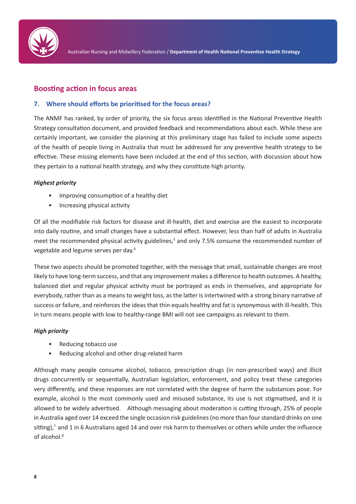

### **Boosting action in focus areas**

#### **7. Where should efforts be prioritised for the focus areas?**

The ANMF has ranked, by order of priority, the six focus areas identified in the National Preventive Health Strategy consultation document, and provided feedback and recommendations about each. While these are certainly important, we consider the planning at this preliminary stage has failed to include some aspects of the health of people living in Australia that must be addressed for any preventive health strategy to be effective. These missing elements have been included at the end of this section, with discussion about how they pertain to a national health strategy, and why they constitute high priority.

#### *Highest priority*

- Improving consumption of a healthy diet
- Increasing physical activity

Of all the modifiable risk factors for disease and ill-health, diet and exercise are the easiest to incorporate into daily routine, and small changes have a substantial effect. However, less than half of adults in Australia meet the recommended physical activity guidelines,<sup>5</sup> and only 7.5% consume the recommended number of vegetable and legume serves per day.6

These two aspects should be promoted together, with the message that small, sustainable changes are most likely to have long-term success, and that any improvement makes a difference to health outcomes. A healthy, balanced diet and regular physical activity must be portrayed as ends in themselves, and appropriate for everybody, rather than as a means to weight loss, as the latter is intertwined with a strong binary narrative of success or failure, and reinforces the ideas that thin equals healthy and fat is synonymous with ill-health. This in turn means people with low to healthy-range BMI will not see campaigns as relevant to them.

#### *High priority*

- Reducing tobacco use
- Reducing alcohol and other drug-related harm

Although many people consume alcohol, tobacco, prescription drugs (in non-prescribed ways) and illicit drugs concurrently or sequentially, Australian legislation, enforcement, and policy treat these categories very differently, and these responses are not correlated with the degree of harm the substances pose. For example, alcohol is the most commonly used and misused substance, its use is not stigmatised, and it is allowed to be widely advertised. Although messaging about moderation is cutting through, 25% of people in Australia aged over 14 exceed the single occasion risk guidelines (no more than four standard drinks on one sitting),<sup>7</sup> and 1 in 6 Australians aged 14 and over risk harm to themselves or others while under the influence of alcohol.8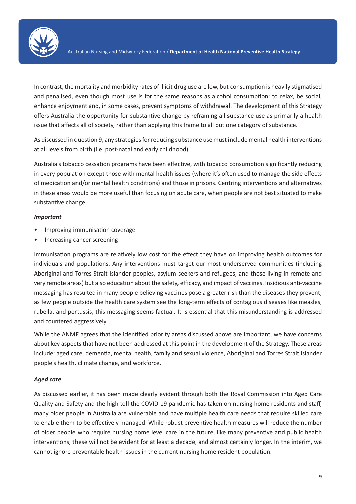

In contrast, the mortality and morbidity rates of illicit drug use are low, but consumption is heavily stigmatised and penalised, even though most use is for the same reasons as alcohol consumption: to relax, be social, enhance enjoyment and, in some cases, prevent symptoms of withdrawal. The development of this Strategy offers Australia the opportunity for substantive change by reframing all substance use as primarily a health issue that affects all of society, rather than applying this frame to all but one category of substance.

As discussed in question 9, any strategies for reducing substance use must include mental health interventions at all levels from birth (i.e. post-natal and early childhood).

Australia's tobacco cessation programs have been effective, with tobacco consumption significantly reducing in every population except those with mental health issues (where it's often used to manage the side effects of medication and/or mental health conditions) and those in prisons. Centring interventions and alternatives in these areas would be more useful than focusing on acute care, when people are not best situated to make substantive change.

#### *Important*

- Improving immunisation coverage
- Increasing cancer screening

Immunisation programs are relatively low cost for the effect they have on improving health outcomes for individuals and populations. Any interventions must target our most underserved communities (including Aboriginal and Torres Strait Islander peoples, asylum seekers and refugees, and those living in remote and very remote areas) but also education about the safety, efficacy, and impact of vaccines. Insidious anti-vaccine messaging has resulted in many people believing vaccines pose a greater risk than the diseases they prevent; as few people outside the health care system see the long-term effects of contagious diseases like measles, rubella, and pertussis, this messaging seems factual. It is essential that this misunderstanding is addressed and countered aggressively.

While the ANMF agrees that the identified priority areas discussed above are important, we have concerns about key aspects that have not been addressed at this point in the development of the Strategy. These areas include: aged care, dementia, mental health, family and sexual violence, Aboriginal and Torres Strait Islander people's health, climate change, and workforce.

#### *Aged care*

As discussed earlier, it has been made clearly evident through both the Royal Commission into Aged Care Quality and Safety and the high toll the COVID-19 pandemic has taken on nursing home residents and staff, many older people in Australia are vulnerable and have multiple health care needs that require skilled care to enable them to be effectively managed. While robust preventive health measures will reduce the number of older people who require nursing home level care in the future, like many preventive and public health interventions, these will not be evident for at least a decade, and almost certainly longer. In the interim, we cannot ignore preventable health issues in the current nursing home resident population.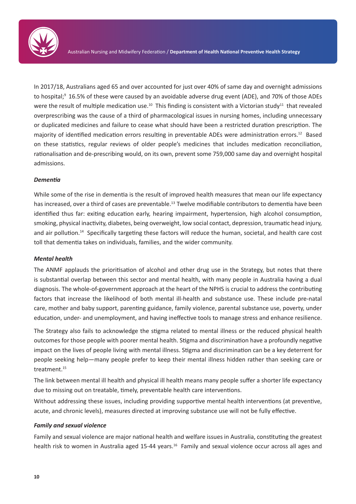

In 2017/18, Australians aged 65 and over accounted for just over 40% of same day and overnight admissions to hospital;<sup>9</sup> 16.5% of these were caused by an avoidable adverse drug event (ADE), and 70% of those ADEs were the result of multiple medication use.<sup>10</sup> This finding is consistent with a Victorian study<sup>11</sup> that revealed overprescribing was the cause of a third of pharmacological issues in nursing homes, including unnecessary or duplicated medicines and failure to cease what should have been a restricted duration prescription. The majority of identified medication errors resulting in preventable ADEs were administration errors.12 Based on these statistics, regular reviews of older people's medicines that includes medication reconciliation, rationalisation and de-prescribing would, on its own, prevent some 759,000 same day and overnight hospital admissions.

#### *Dementia*

While some of the rise in dementia is the result of improved health measures that mean our life expectancy has increased, over a third of cases are preventable.<sup>13</sup> Twelve modifiable contributors to dementia have been identified thus far: exiting education early, hearing impairment, hypertension, high alcohol consumption, smoking, physical inactivity, diabetes, being overweight, low social contact, depression, traumatic head injury, and air pollution.14 Specifically targeting these factors will reduce the human, societal, and health care cost toll that dementia takes on individuals, families, and the wider community.

#### *Mental health*

The ANMF applauds the prioritisation of alcohol and other drug use in the Strategy, but notes that there is substantial overlap between this sector and mental health, with many people in Australia having a dual diagnosis. The whole-of-government approach at the heart of the NPHS is crucial to address the contributing factors that increase the likelihood of both mental ill-health and substance use. These include pre-natal care, mother and baby support, parenting guidance, family violence, parental substance use, poverty, under education, under- and unemployment, and having ineffective tools to manage stress and enhance resilience.

The Strategy also fails to acknowledge the stigma related to mental illness or the reduced physical health outcomes for those people with poorer mental health. Stigma and discrimination have a profoundly negative impact on the lives of people living with mental illness. Stigma and discrimination can be a key deterrent for people seeking help—many people prefer to keep their mental illness hidden rather than seeking care or treatment.15

The link between mental ill health and physical ill health means many people suffer a shorter life expectancy due to missing out on treatable, timely, preventable health care interventions.

Without addressing these issues, including providing supportive mental health interventions (at preventive, acute, and chronic levels), measures directed at improving substance use will not be fully effective.

#### *Family and sexual violence*

Family and sexual violence are major national health and welfare issues in Australia, constituting the greatest health risk to women in Australia aged 15-44 years.<sup>16</sup> Family and sexual violence occur across all ages and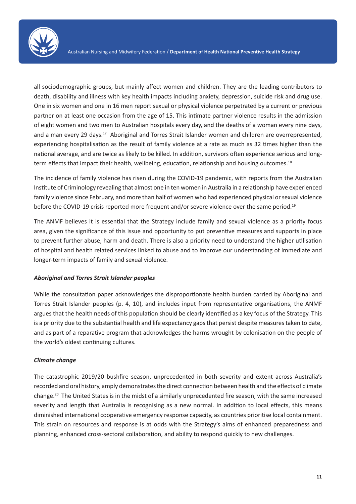

all sociodemographic groups, but mainly affect women and children. They are the leading contributors to death, disability and illness with key health impacts including anxiety, depression, suicide risk and drug use. One in six women and one in 16 men report sexual or physical violence perpetrated by a current or previous partner on at least one occasion from the age of 15. This intimate partner violence results in the admission of eight women and two men to Australian hospitals every day, and the deaths of a woman every nine days, and a man every 29 days.<sup>17</sup> Aboriginal and Torres Strait Islander women and children are overrepresented, experiencing hospitalisation as the result of family violence at a rate as much as 32 times higher than the national average, and are twice as likely to be killed. In addition, survivors often experience serious and longterm effects that impact their health, wellbeing, education, relationship and housing outcomes.<sup>18</sup>

The incidence of family violence has risen during the COVID-19 pandemic, with reports from the Australian Institute of Criminology revealing that almost one in ten women in Australia in a relationship have experienced family violence since February, and more than half of women who had experienced physical or sexual violence before the COVID-19 crisis reported more frequent and/or severe violence over the same period.<sup>19</sup>

The ANMF believes it is essential that the Strategy include family and sexual violence as a priority focus area, given the significance of this issue and opportunity to put preventive measures and supports in place to prevent further abuse, harm and death. There is also a priority need to understand the higher utilisation of hospital and health related services linked to abuse and to improve our understanding of immediate and longer-term impacts of family and sexual violence.

#### *Aboriginal and Torres Strait Islander peoples*

While the consultation paper acknowledges the disproportionate health burden carried by Aboriginal and Torres Strait Islander peoples (p. 4, 10), and includes input from representative organisations, the ANMF argues that the health needs of this population should be clearly identified as a key focus of the Strategy. This is a priority due to the substantial health and life expectancy gaps that persist despite measures taken to date, and as part of a reparative program that acknowledges the harms wrought by colonisation on the people of the world's oldest continuing cultures.

#### *Climate change*

The catastrophic 2019/20 bushfire season, unprecedented in both severity and extent across Australia's recorded and oral history, amply demonstrates the direct connection between health and the effects of climate change.20 The United States is in the midst of a similarly unprecedented fire season, with the same increased severity and length that Australia is recognising as a new normal. In addition to local effects, this means diminished international cooperative emergency response capacity, as countries prioritise local containment. This strain on resources and response is at odds with the Strategy's aims of enhanced preparedness and planning, enhanced cross-sectoral collaboration, and ability to respond quickly to new challenges.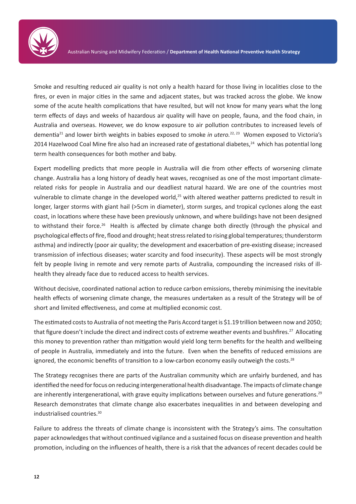

Smoke and resulting reduced air quality is not only a health hazard for those living in localities close to the fires, or even in major cities in the same and adjacent states, but was tracked across the globe. We know some of the acute health complications that have resulted, but will not know for many years what the long term effects of days and weeks of hazardous air quality will have on people, fauna, and the food chain, in Australia and overseas. However, we do know exposure to air pollution contributes to increased levels of dementia<sup>21</sup> and lower birth weights in babies exposed to smoke *in utero.*<sup>22, 23</sup> Women exposed to Victoria's 2014 Hazelwood Coal Mine fire also had an increased rate of gestational diabetes,<sup>24</sup> which has potential long term health consequences for both mother and baby.

Expert modelling predicts that more people in Australia will die from other effects of worsening climate change. Australia has a long history of deadly heat waves, recognised as one of the most important climaterelated risks for people in Australia and our deadliest natural hazard. We are one of the countries most vulnerable to climate change in the developed world,<sup>25</sup> with altered weather patterns predicted to result in longer, larger storms with giant hail (>5cm in diameter), storm surges, and tropical cyclones along the east coast, in locations where these have been previously unknown, and where buildings have not been designed to withstand their force.<sup>26</sup> Health is affected by climate change both directly (through the physical and psychological effects of fire, flood and drought; heat stress related to rising global temperatures; thunderstorm asthma) and indirectly (poor air quality; the development and exacerbation of pre-existing disease; increased transmission of infectious diseases; water scarcity and food insecurity). These aspects will be most strongly felt by people living in remote and very remote parts of Australia, compounding the increased risks of illhealth they already face due to reduced access to health services.

Without decisive, coordinated national action to reduce carbon emissions, thereby minimising the inevitable health effects of worsening climate change, the measures undertaken as a result of the Strategy will be of short and limited effectiveness, and come at multiplied economic cost.

The estimated costs to Australia of not meeting the Paris Accord target is \$1.19 trillion between now and 2050; that figure doesn't include the direct and indirect costs of extreme weather events and bushfires.27 Allocating this money to prevention rather than mitigation would yield long term benefits for the health and wellbeing of people in Australia, immediately and into the future. Even when the benefits of reduced emissions are ignored, the economic benefits of transition to a low-carbon economy easily outweigh the costs.<sup>28</sup>

The Strategy recognises there are parts of the Australian community which are unfairly burdened, and has identified the need for focus on reducing intergenerational health disadvantage. The impacts of climate change are inherently intergenerational, with grave equity implications between ourselves and future generations.<sup>29</sup> Research demonstrates that climate change also exacerbates inequalities in and between developing and industrialised countries.30

Failure to address the threats of climate change is inconsistent with the Strategy's aims. The consultation paper acknowledges that without continued vigilance and a sustained focus on disease prevention and health promotion, including on the influences of health, there is a risk that the advances of recent decades could be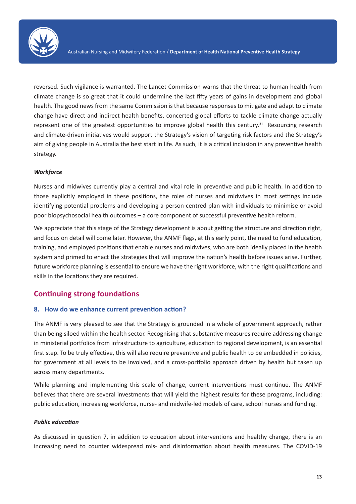

reversed. Such vigilance is warranted. The Lancet Commission warns that the threat to human health from climate change is so great that it could undermine the last fifty years of gains in development and global health. The good news from the same Commission is that because responses to mitigate and adapt to climate change have direct and indirect health benefits, concerted global efforts to tackle climate change actually represent one of the greatest opportunities to improve global health this century.<sup>31</sup> Resourcing research and climate-driven initiatives would support the Strategy's vision of targeting risk factors and the Strategy's aim of giving people in Australia the best start in life. As such, it is a critical inclusion in any preventive health strategy.

#### *Workforce*

Nurses and midwives currently play a central and vital role in preventive and public health. In addition to those explicitly employed in these positions, the roles of nurses and midwives in most settings include identifying potential problems and developing a person-centred plan with individuals to minimise or avoid poor biopsychosocial health outcomes – a core component of successful preventive health reform.

We appreciate that this stage of the Strategy development is about getting the structure and direction right, and focus on detail will come later. However, the ANMF flags, at this early point, the need to fund education, training, and employed positions that enable nurses and midwives, who are both ideally placed in the health system and primed to enact the strategies that will improve the nation's health before issues arise. Further, future workforce planning is essential to ensure we have the right workforce, with the right qualifications and skills in the locations they are required.

### **Continuing strong foundations**

#### **8. How do we enhance current prevention action?**

The ANMF is very pleased to see that the Strategy is grounded in a whole of government approach, rather than being siloed within the health sector. Recognising that substantive measures require addressing change in ministerial portfolios from infrastructure to agriculture, education to regional development, is an essential first step. To be truly effective, this will also require preventive and public health to be embedded in policies, for government at all levels to be involved, and a cross-portfolio approach driven by health but taken up across many departments.

While planning and implementing this scale of change, current interventions must continue. The ANMF believes that there are several investments that will yield the highest results for these programs, including: public education, increasing workforce, nurse- and midwife-led models of care, school nurses and funding.

#### *Public education*

As discussed in question 7, in addition to education about interventions and healthy change, there is an increasing need to counter widespread mis- and disinformation about health measures. The COVID-19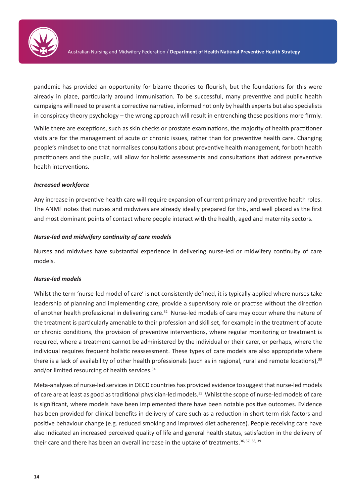

pandemic has provided an opportunity for bizarre theories to flourish, but the foundations for this were already in place, particularly around immunisation. To be successful, many preventive and public health campaigns will need to present a corrective narrative, informed not only by health experts but also specialists in conspiracy theory psychology – the wrong approach will result in entrenching these positions more firmly.

While there are exceptions, such as skin checks or prostate examinations, the majority of health practitioner visits are for the management of acute or chronic issues, rather than for preventive health care. Changing people's mindset to one that normalises consultations about preventive health management, for both health practitioners and the public, will allow for holistic assessments and consultations that address preventive health interventions.

#### *Increased workforce*

Any increase in preventive health care will require expansion of current primary and preventive health roles. The ANMF notes that nurses and midwives are already ideally prepared for this, and well placed as the first and most dominant points of contact where people interact with the health, aged and maternity sectors.

#### *Nurse-led and midwifery continuity of care models*

Nurses and midwives have substantial experience in delivering nurse-led or midwifery continuity of care models.

#### *Nurse-led models*

Whilst the term 'nurse-led model of care' is not consistently defined, it is typically applied where nurses take leadership of planning and implementing care, provide a supervisory role or practise without the direction of another health professional in delivering care.<sup>32</sup> Nurse-led models of care may occur where the nature of the treatment is particularly amenable to their profession and skill set, for example in the treatment of acute or chronic conditions, the provision of preventive interventions, where regular monitoring or treatment is required, where a treatment cannot be administered by the individual or their carer, or perhaps, where the individual requires frequent holistic reassessment. These types of care models are also appropriate where there is a lack of availability of other health professionals (such as in regional, rural and remote locations), $33$ and/or limited resourcing of health services.<sup>34</sup>

Meta-analyses of nurse-led services in OECD countries has provided evidence to suggest that nurse-led models of care are at least as good as traditional physician-led models.35 Whilst the scope of nurse-led models of care is significant, where models have been implemented there have been notable positive outcomes. Evidence has been provided for clinical benefits in delivery of care such as a reduction in short term risk factors and positive behaviour change (e.g. reduced smoking and improved diet adherence). People receiving care have also indicated an increased perceived quality of life and general health status, satisfaction in the delivery of their care and there has been an overall increase in the uptake of treatments.  $36, 37, 38, 39$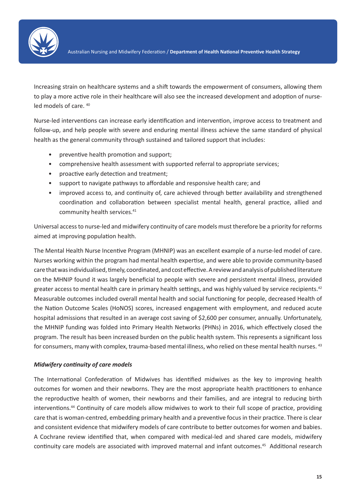

Increasing strain on healthcare systems and a shift towards the empowerment of consumers, allowing them to play a more active role in their healthcare will also see the increased development and adoption of nurseled models of care. 40

Nurse-led interventions can increase early identification and intervention, improve access to treatment and follow-up, and help people with severe and enduring mental illness achieve the same standard of physical health as the general community through sustained and tailored support that includes:

- preventive health promotion and support;
- comprehensive health assessment with supported referral to appropriate services;
- proactive early detection and treatment;
- support to navigate pathways to affordable and responsive health care; and
- improved access to, and continuity of, care achieved through better availability and strengthened coordination and collaboration between specialist mental health, general practice, allied and community health services.<sup>41</sup>

Universal access to nurse-led and midwifery continuity of care models must therefore be a priority for reforms aimed at improving population health.

The Mental Health Nurse Incentive Program (MHNIP) was an excellent example of a nurse-led model of care. Nurses working within the program had mental health expertise, and were able to provide community-based care that was individualised, timely, coordinated, and cost effective. A review and analysis of published literature on the MHNIP found it was largely beneficial to people with severe and persistent mental illness, provided greater access to mental health care in primary health settings, and was highly valued by service recipients.<sup>42</sup> Measurable outcomes included overall mental health and social functioning for people, decreased Health of the Nation Outcome Scales (HoNOS) scores, increased engagement with employment, and reduced acute hospital admissions that resulted in an average cost saving of \$2,600 per consumer, annually. Unfortunately, the MHNIP funding was folded into Primary Health Networks (PHNs) in 2016, which effectively closed the program. The result has been increased burden on the public health system. This represents a significant loss for consumers, many with complex, trauma-based mental illness, who relied on these mental health nurses. <sup>43</sup>

#### *Midwifery continuity of care models*

The International Confederation of Midwives has identified midwives as the key to improving health outcomes for women and their newborns. They are the most appropriate health practitioners to enhance the reproductive health of women, their newborns and their families, and are integral to reducing birth interventions.44 Continuity of care models allow midwives to work to their full scope of practice, providing care that is woman-centred, embedding primary health and a preventive focus in their practice. There is clear and consistent evidence that midwifery models of care contribute to better outcomes for women and babies. A Cochrane review identified that, when compared with medical-led and shared care models, midwifery continuity care models are associated with improved maternal and infant outcomes.<sup>45</sup> Additional research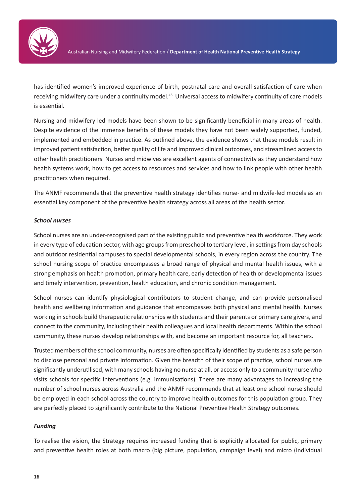

has identified women's improved experience of birth, postnatal care and overall satisfaction of care when receiving midwifery care under a continuity model.<sup>46</sup> Universal access to midwifery continuity of care models is essential.

Nursing and midwifery led models have been shown to be significantly beneficial in many areas of health. Despite evidence of the immense benefits of these models they have not been widely supported, funded, implemented and embedded in practice. As outlined above, the evidence shows that these models result in improved patient satisfaction, better quality of life and improved clinical outcomes, and streamlined access to other health practitioners. Nurses and midwives are excellent agents of connectivity as they understand how health systems work, how to get access to resources and services and how to link people with other health practitioners when required.

The ANMF recommends that the preventive health strategy identifies nurse- and midwife-led models as an essential key component of the preventive health strategy across all areas of the health sector.

#### *School nurses*

School nurses are an under-recognised part of the existing public and preventive health workforce. They work in every type of education sector, with age groups from preschool to tertiary level, in settings from day schools and outdoor residential campuses to special developmental schools, in every region across the country. The school nursing scope of practice encompasses a broad range of physical and mental health issues, with a strong emphasis on health promotion, primary health care, early detection of health or developmental issues and timely intervention, prevention, health education, and chronic condition management.

School nurses can identify physiological contributors to student change, and can provide personalised health and wellbeing information and guidance that encompasses both physical and mental health. Nurses working in schools build therapeutic relationships with students and their parents or primary care givers, and connect to the community, including their health colleagues and local health departments. Within the school community, these nurses develop relationships with, and become an important resource for, all teachers.

Trusted members of the school community, nurses are often specifically identified by students as a safe person to disclose personal and private information. Given the breadth of their scope of practice, school nurses are significantly underutilised, with many schools having no nurse at all, or access only to a community nurse who visits schools for specific interventions (e.g. immunisations). There are many advantages to increasing the number of school nurses across Australia and the ANMF recommends that at least one school nurse should be employed in each school across the country to improve health outcomes for this population group. They are perfectly placed to significantly contribute to the National Preventive Health Strategy outcomes.

#### *Funding*

To realise the vision, the Strategy requires increased funding that is explicitly allocated for public, primary and preventive health roles at both macro (big picture, population, campaign level) and micro (individual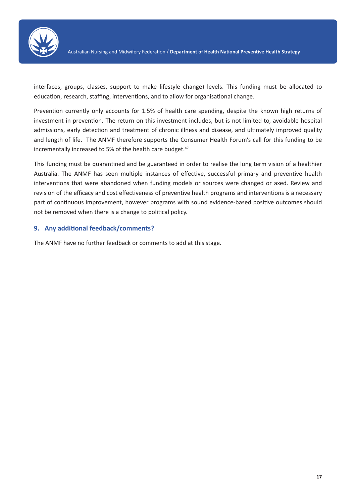

interfaces, groups, classes, support to make lifestyle change) levels. This funding must be allocated to education, research, staffing, interventions, and to allow for organisational change.

Prevention currently only accounts for 1.5% of health care spending, despite the known high returns of investment in prevention. The return on this investment includes, but is not limited to, avoidable hospital admissions, early detection and treatment of chronic illness and disease, and ultimately improved quality and length of life. The ANMF therefore supports the Consumer Health Forum's call for this funding to be incrementally increased to 5% of the health care budget.<sup>47</sup>

This funding must be quarantined and be guaranteed in order to realise the long term vision of a healthier Australia. The ANMF has seen multiple instances of effective, successful primary and preventive health interventions that were abandoned when funding models or sources were changed or axed. Review and revision of the efficacy and cost effectiveness of preventive health programs and interventions is a necessary part of continuous improvement, however programs with sound evidence-based positive outcomes should not be removed when there is a change to political policy.

#### **9. Any additional feedback/comments?**

The ANMF have no further feedback or comments to add at this stage.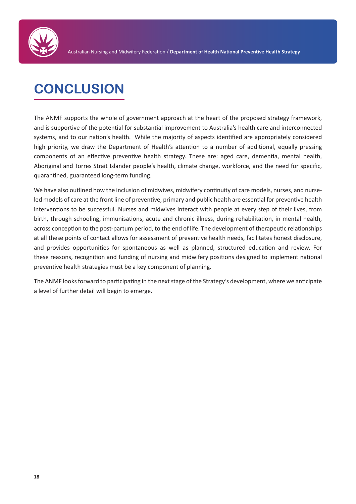

# **CONCLUSION**

The ANMF supports the whole of government approach at the heart of the proposed strategy framework, and is supportive of the potential for substantial improvement to Australia's health care and interconnected systems, and to our nation's health. While the majority of aspects identified are appropriately considered high priority, we draw the Department of Health's attention to a number of additional, equally pressing components of an effective preventive health strategy. These are: aged care, dementia, mental health, Aboriginal and Torres Strait Islander people's health, climate change, workforce, and the need for specific, quarantined, guaranteed long-term funding.

We have also outlined how the inclusion of midwives, midwifery continuity of care models, nurses, and nurseled models of care at the front line of preventive, primary and public health are essential for preventive health interventions to be successful. Nurses and midwives interact with people at every step of their lives, from birth, through schooling, immunisations, acute and chronic illness, during rehabilitation, in mental health, across conception to the post-partum period, to the end of life. The development of therapeutic relationships at all these points of contact allows for assessment of preventive health needs, facilitates honest disclosure, and provides opportunities for spontaneous as well as planned, structured education and review. For these reasons, recognition and funding of nursing and midwifery positions designed to implement national preventive health strategies must be a key component of planning.

The ANMF looks forward to participating in the next stage of the Strategy's development, where we anticipate a level of further detail will begin to emerge.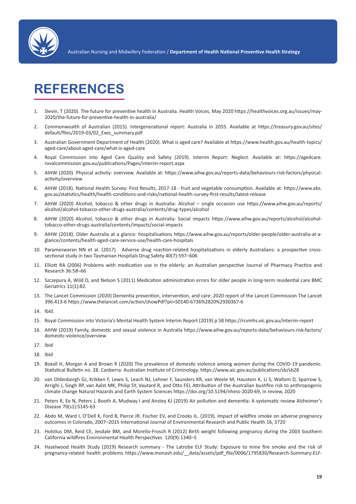

## **REFERENCES**

- 1. Slevin, T (2020). The future for preventive health in Australia. Health Voices, May 2020 https://healthvoices.org.au/issues/may-2020/the-future-for-preventive-health-in-australia/
- 2. Commonwealth of Australian (2015). Intergenerational report: Australia in 2055. Available at https://treasury.gov.au/sites/ default/files/2019-03/02\_Exec\_summary.pdf
- 3. Australian Government Department of Health (2020). What is aged care? Available at https://www.health.gov.au/health-topics/ aged-care/about-aged-care/what-is-aged-care
- 4. Royal Commission into Aged Care Quality and Safety (2019). Interim Report: Neglect. Available at: https://agedcare. rovalcommission.gov.au/publications/Pages/interim-report.aspx
- 5. AIHW (2020). Physical activity: overview. Available at: https://www.aihw.gov.au/reports-data/behaviours-risk-factors/physicalactivity/overview
- 6. AIHW (2018). National Health Survey: First Results, 2017-18 fruit and vegetable consumption. Available at: https://www.abs. gov.au/statistics/health/health-conditions-and-risks/national-health-survey-first-results/latest-release
- 7. AIHW (2020) Alcohol, tobacco & other drugs in Australia: Alcohol single occasion use https://www.aihw.gov.au/reports/ alcohol/alcohol-tobacco-other-drugs-australia/contents/drug-types/alcohol
- 8. AIHW (2020) Alcohol, tobacco & other drugs in Australia: Social impacts https://www.aihw.gov.au/reports/alcohol/alcoholtobacco-other-drugs-australia/contents/impacts/social-impacts
- 9. AIHW (2018). Older Australia at a glance: hospitalisations https://www.aihw.gov.au/reports/older-people/older-australia-at-aglance/contents/health-aged-care-service-use/health-care-hospitals
- 10. Parameswaran NN et al. (2017) Adverse drug reaction-related hospitalizations in elderly Australians: a prospective crosssectional study in two Tasmanian Hospitals Drug Safety 40(7):597–606
- 11. Elliott RA (2006) Problems with medication use in the elderly: an Australian perspective Journal of Pharmacy Practice and Research 36:58–66
- 12. Szczepura A, Wild D, and Nelson S (2011) Medication administration errors for older people in long-term residential care BMC Geriatrics 11(1):82.
- 13. The Lancet Commission (2020) Dementia prevention, intervention, and care: 2020 report of the Lancet Commission The Lancet 396:413-6 https://www.thelancet.com/action/showPdf?pii=S0140-6736%2820%2930367-6
- 14. Ibid.
- 15. Royal Commission into Victoria's Mental Health System Interim Report (2019) p 58 https://rcvmhs.vic.gov.au/interim-report
- 16. AIHW (2019) Family, domestic and sexual violence in Australia https://www.aihw.gov.au/reports-data/behaviours-risk-factors/ domestic-violence/overview
- 17. Ibid
- 18. Ibid
- 19. Boxall H, Morgan A and Brown R (2020) The prevalence of domestic violence among women during the COVID-19 pandemic. Statistical Bulletin no. 28. Canberra: Australian Institute of Criminology. https://www.aic.gov.au/publications/sb/sb28
- 20. van Oldenborgh GJ, Krikken F, Lewis S, Leach NJ, Lehner F, Saunders KR, van Weele M, Haustein K, Li S, Wallom D, Sparrow S, Arrighi J, Singh RP, van Aalst MK, Philip SY, Vautard R, and Otto FEL Attribution of the Australian bushfire risk to anthropogenic climate change Natural Hazards and Earth System Sciences https://doi.org/10.5194/nhess-2020-69, in review, 2020
- 21. Peters R, Ee N, Peters J, Booth A, Mudway I and Anstey KJ (2019) Air pollution and dementia: A systematic review Alzheimer's Disease 70(s1):S145-63
- 22. Abdo M, Ward I, O'Dell K, Ford B, Pierce JR. Fischer EV, and Crooks JL. (2019). Impact of wildfire smoke on adverse pregnancy outcomes in Colorado, 2007–2015 International Journal of Environmental Research and Public Health 16, 3720
- 23. Holstius DM, Reid CE, Jesdale BM, and Morello-Frosch R (2012) Birth weight following pregnancy during the 2003 Southern California wildfires Environmental Health Perspectives 120(9):1340–5
- 24. Hazelwood Health Study (2019) Research summary The Latrobe ELF Study: Exposure to mine fire smoke and the risk of pregnancy-related health problems https://www.monash.edu/ data/assets/pdf file/0006/1795830/Research-Summary-ELF-